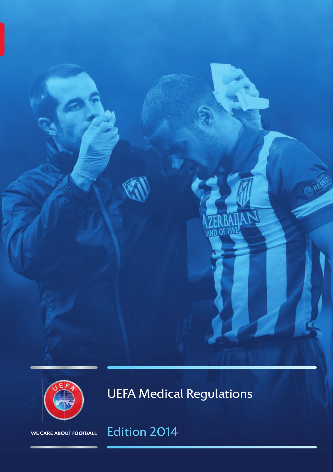



UEFA Medical Regulations

# Edition 2014

WE CARE ABOUT FOOTBALL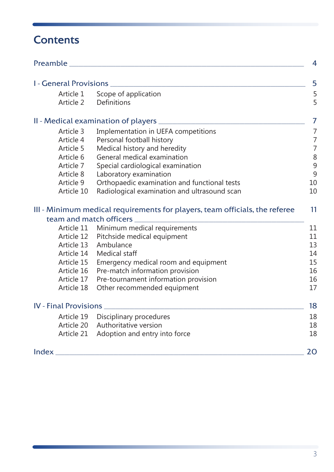## **Contents**

| Preamble                     |                                                                             | 4              |
|------------------------------|-----------------------------------------------------------------------------|----------------|
| I - General Provisions       |                                                                             | 5              |
| Article 1                    |                                                                             |                |
| Article 2                    | Scope of application<br>Definitions                                         | 5<br>5         |
|                              |                                                                             |                |
|                              |                                                                             | 7              |
| Article 3                    | Implementation in UEFA competitions                                         | $\overline{7}$ |
| Article 4                    | Personal football history                                                   | $\overline{7}$ |
| Article 5                    | Medical history and heredity                                                | $\overline{7}$ |
| Article 6                    | General medical examination                                                 | 8              |
| Article 7                    | Special cardiological examination                                           | $\overline{9}$ |
| Article 8                    | Laboratory examination                                                      | 9              |
| Article 9                    | Orthopaedic examination and functional tests                                | 10             |
| Article 10                   | Radiological examination and ultrasound scan                                | 10             |
|                              |                                                                             |                |
|                              | III - Minimum medical requirements for players, team officials, the referee | 11             |
| team and match officers      |                                                                             |                |
| Article 11                   | Minimum medical requirements                                                | 11             |
| Article 12                   | Pitchside medical equipment                                                 | 11             |
| Article 13                   | Ambulance                                                                   | 13             |
| Article 14                   | Medical staff                                                               | 14             |
| Article 15<br>Article 16     | Emergency medical room and equipment                                        | 15             |
| Article 17                   | Pre-match information provision                                             | 16             |
| Article 18                   | Pre-tournament information provision<br>Other recommended equipment         | 16<br>17       |
|                              |                                                                             |                |
| <b>IV</b> - Final Provisions |                                                                             | 18             |
| Article 19                   | Disciplinary procedures                                                     | 18             |
| Article 20                   | Authoritative version                                                       | 18             |
| Article 21                   | Adoption and entry into force                                               | 18             |
|                              |                                                                             |                |
| Index                        |                                                                             | 20             |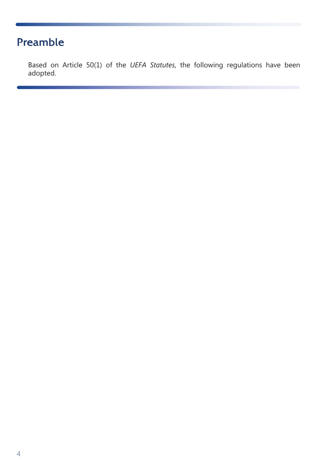## <span id="page-2-0"></span>Preamble

Based on Article 50(1) of the *UEFA Statutes*, the following regulations have been adopted.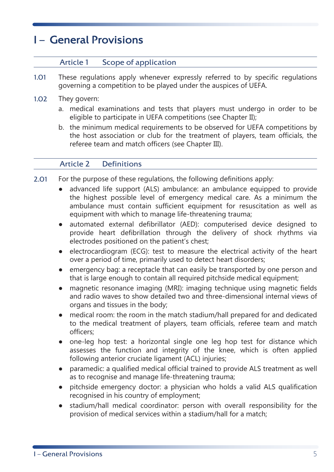## <span id="page-3-0"></span>I – General Provisions

#### Article 1 Scope of application

- 1.01 These regulations apply whenever expressly referred to by specific regulations governing a competition to be played under the auspices of UEFA.
- 1.02 They govern:
	- a. medical examinations and tests that players must undergo in order to be eligible to participate in UEFA competitions ([see Chapter II](#page-5-0));
	- b. the minimum medical requirements to be observed for UEFA competitions by the host association or club for the treatment of players, team officials, the referee team and match officers [\(see Chapter III](#page-9-0)).

#### Article 2 Definitions

- 2.01 For the purpose of these regulations, the following definitions apply:
	- advanced life support (ALS) ambulance: an ambulance equipped to provide the highest possible level of emergency medical care. As a minimum the ambulance must contain sufficient equipment for resuscitation as well as equipment with which to manage life-threatening trauma;
	- automated external defibrillator (AED): computerised device designed to provide heart defibrillation through the delivery of shock rhythms via electrodes positioned on the patient's chest;
	- electrocardiogram (ECG): test to measure the electrical activity of the heart over a period of time, primarily used to detect heart disorders;
	- emergency bag: a receptacle that can easily be transported by one person and that is large enough to contain all required pitchside medical equipment;
	- magnetic resonance imaging (MRI): imaging technique using magnetic fields and radio waves to show detailed two and three-dimensional internal views of organs and tissues in the body;
	- medical room: the room in the match stadium/hall prepared for and dedicated to the medical treatment of players, team officials, referee team and match officers;
	- one-leg hop test: a horizontal single one leg hop test for distance which assesses the function and integrity of the knee, which is often applied following anterior cruciate ligament (ACL) injuries;
	- paramedic: a qualified medical official trained to provide ALS treatment as well as to recognise and manage life-threatening trauma;
	- pitchside emergency doctor: a physician who holds a valid ALS qualification recognised in his country of employment;
	- stadium/hall medical coordinator: person with overall responsibility for the provision of medical services within a stadium/hall for a match;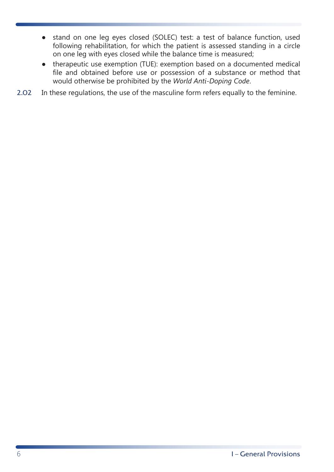- stand on one leg eyes closed (SOLEC) test: a test of balance function, used following rehabilitation, for which the patient is assessed standing in a circle on one leg with eyes closed while the balance time is measured;
- therapeutic use exemption (TUE): exemption based on a documented medical file and obtained before use or possession of a substance or method that would otherwise be prohibited by the *World Anti-Doping Code*.
- 2.02 In these regulations, the use of the masculine form refers equally to the feminine.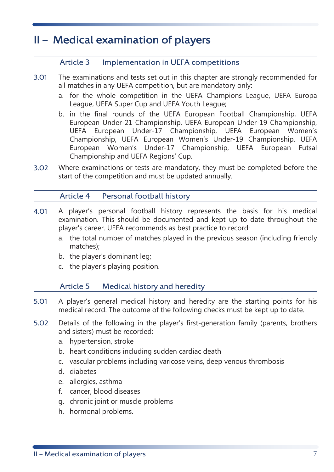## <span id="page-5-0"></span>II – Medical examination of players

#### Article 3 Implementation in UEFA competitions

- 3.01 The examinations and tests set out in this chapter are strongly recommended for all matches in any UEFA competition, but are mandatory only:
	- a. for the whole competition in the UEFA Champions League, UEFA Europa League, UEFA Super Cup and UEFA Youth League;
	- b. in the final rounds of the UEFA European Football Championship, UEFA European Under-21 Championship, UEFA European Under-19 Championship, UEFA European Under-17 Championship, UEFA European Women's Championship, UEFA European Women's Under-19 Championship, UEFA European Women's Under-17 Championship, UEFA European Futsal Championship and UEFA Regions' Cup.
- 3.02 Where examinations or tests are mandatory, they must be completed before the start of the competition and must be updated annually.

#### Article 4 Personal football history

- 4.01 A player's personal football history represents the basis for his medical examination. This should be documented and kept up to date throughout the player's career. UEFA recommends as best practice to record:
	- a. the total number of matches played in the previous season (including friendly matches);
	- b. the player's dominant leg;
	- c. the player's playing position.

#### Article 5 Medical history and heredity

- 5.01 A player's general medical history and heredity are the starting points for his medical record. The outcome of the following checks must be kept up to date.
- 5.02 Details of the following in the player's first-generation family (parents, brothers and sisters) must be recorded:
	- a. hypertension, stroke
	- b. heart conditions including sudden cardiac death
	- c. vascular problems including varicose veins, deep venous thrombosis
	- d. diabetes
	- e. allergies, asthma
	- f. cancer, blood diseases
	- g. chronic joint or muscle problems
	- h. hormonal problems.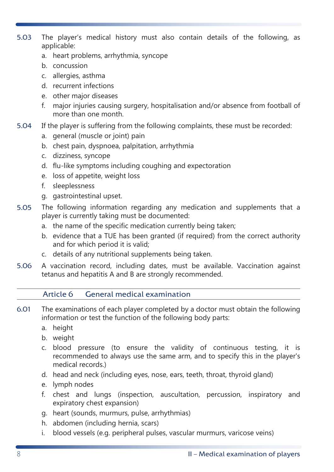- <span id="page-6-0"></span>5.03 The player's medical history must also contain details of the following, as applicable:
	- a. heart problems, arrhythmia, syncope
	- b. concussion
	- c. allergies, asthma
	- d. recurrent infections
	- e. other major diseases
	- f. major injuries causing surgery, hospitalisation and/or absence from football of more than one month.
- 5.04 If the player is suffering from the following complaints, these must be recorded:
	- a. general (muscle or joint) pain
	- b. chest pain, dyspnoea, palpitation, arrhythmia
	- c. dizziness, syncope
	- d. flu-like symptoms including coughing and expectoration
	- e. loss of appetite, weight loss
	- f. sleeplessness
	- g. gastrointestinal upset.
- 5.05 The following information regarding any medication and supplements that a player is currently taking must be documented:
	- a. the name of the specific medication currently being taken;
	- b. evidence that a TUE has been granted (if required) from the correct authority and for which period it is valid;
	- c. details of any nutritional supplements being taken.
- 5.06 A vaccination record, including dates, must be available. Vaccination against tetanus and hepatitis A and B are strongly recommended.

#### Article 6 General medical examination

- 6.01 The examinations of each player completed by a doctor must obtain the following information or test the function of the following body parts:
	- a. height
	- b. weight
	- c. blood pressure (to ensure the validity of continuous testing, it is recommended to always use the same arm, and to specify this in the player's medical records.)
	- d. head and neck (including eyes, nose, ears, teeth, throat, thyroid gland)
	- e. lymph nodes
	- f. chest and lungs (inspection, auscultation, percussion, inspiratory and expiratory chest expansion)
	- g. heart (sounds, murmurs, pulse, arrhythmias)
	- h. abdomen (including hernia, scars)
	- i. blood vessels (e.g. peripheral pulses, vascular murmurs, varicose veins)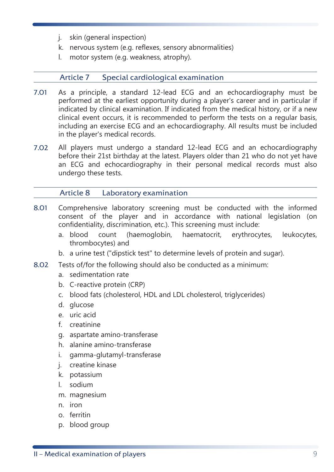- <span id="page-7-0"></span>j. skin (general inspection)
- k. nervous system (e.g. reflexes, sensory abnormalities)
- l. motor system (e.g. weakness, atrophy).

#### Article 7 Special cardiological examination

- 7.01 As a principle, a standard 12-lead ECG and an echocardiography must be performed at the earliest opportunity during a player's career and in particular if indicated by clinical examination. If indicated from the medical history, or if a new clinical event occurs, it is recommended to perform the tests on a regular basis, including an exercise ECG and an echocardiography. All results must be included in the player's medical records.
- 7.02 All players must undergo a standard 12-lead ECG and an echocardiography before their 21st birthday at the latest. Players older than 21 who do not yet have an ECG and echocardiography in their personal medical records must also undergo these tests.

#### Article 8 Laboratory examination

- 8.01 Comprehensive laboratory screening must be conducted with the informed consent of the player and in accordance with national legislation (on confidentiality, discrimination, etc.). This screening must include:
	- a. blood count (haemoglobin, haematocrit, erythrocytes, leukocytes, thrombocytes) and
	- b. a urine test ("dipstick test" to determine levels of protein and sugar).
- 8.02 Tests of/for the following should also be conducted as a minimum:
	- a. sedimentation rate
	- b. C-reactive protein (CRP)
	- c. blood fats (cholesterol, HDL and LDL cholesterol, triglycerides)
	- d. glucose
	- e. uric acid
	- f. creatinine
	- g. aspartate amino-transferase
	- h. alanine amino-transferase
	- i. gamma-glutamyl-transferase
	- j. creatine kinase
	- k. potassium
	- l. sodium
	- m. magnesium
	- n. iron
	- o. ferritin
	- p. blood group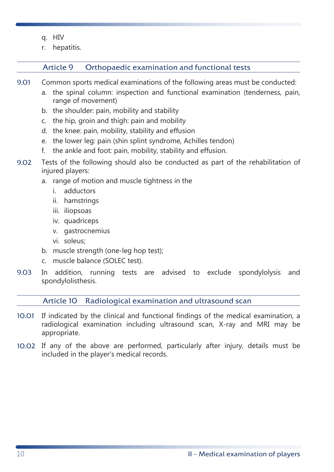- <span id="page-8-0"></span>q. HIV
- r. hepatitis.

#### Article 9 Orthopaedic examination and functional tests

- 9.01 Common sports medical examinations of the following areas must be conducted:
	- a. the spinal column: inspection and functional examination (tenderness, pain, range of movement)
	- b. the shoulder: pain, mobility and stability
	- c. the hip, groin and thigh: pain and mobility
	- d. the knee: pain, mobility, stability and effusion
	- e. the lower leg: pain (shin splint syndrome, Achilles tendon)
	- f. the ankle and foot: pain, mobility, stability and effusion.
- 9.02 Tests of the following should also be conducted as part of the rehabilitation of injured players:
	- a. range of motion and muscle tightness in the
		- i. adductors
		- ii. hamstrings
		- iii. iliopsoas
		- iv. quadriceps
		- v. gastrocnemius
		- vi. soleus;
	- b. muscle strength (one-leg hop test);
	- c. muscle balance (SOLEC test).
- 9.03 In addition, running tests are advised to exclude spondylolysis and spondylolisthesis.

Article 10 Radiological examination and ultrasound scan

- 10.01 If indicated by the clinical and functional findings of the medical examination, a radiological examination including ultrasound scan, X-ray and MRI may be appropriate.
- 10.02 If any of the above are performed, particularly after injury, details must be included in the player's medical records.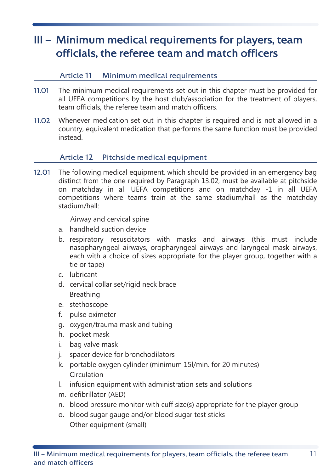## <span id="page-9-0"></span>III – Minimum medical requirements for players, team officials, the referee team and match officers

#### Article 11 Minimum medical requirements

- 11.01 The minimum medical requirements set out in this chapter must be provided for all UEFA competitions by the host club/association for the treatment of players, team officials, the referee team and match officers.
- 11.02 Whenever medication set out in this chapter is required and is not allowed in a country, equivalent medication that performs the same function must be provided instead.

#### Article 12 Pitchside medical equipment

12.01 The following medical equipment, which should be provided in an emergency bag distinct from the one required [by Paragraph 13.02](#page-11-0), must be available at pitchside on matchday in all UEFA competitions and on matchday -1 in all UEFA competitions where teams train at the same stadium/hall as the matchday stadium/hall:

Airway and cervical spine

- a. handheld suction device
- b. respiratory resuscitators with masks and airways (this must include nasopharyngeal airways, oropharyngeal airways and laryngeal mask airways, each with a choice of sizes appropriate for the player group, together with a tie or tape)
- c. lubricant
- d. cervical collar set/rigid neck brace Breathing
- e. stethoscope
- f. pulse oximeter
- g. oxygen/trauma mask and tubing
- h. pocket mask
- i. bag valve mask
- j. spacer device for bronchodilators
- k. portable oxygen cylinder (minimum 15l/min. for 20 minutes) Circulation
- l. infusion equipment with administration sets and solutions
- m. defibrillator (AED)
- n. blood pressure monitor with cuff size(s) appropriate for the player group
- o. blood sugar gauge and/or blood sugar test sticks Other equipment (small)

11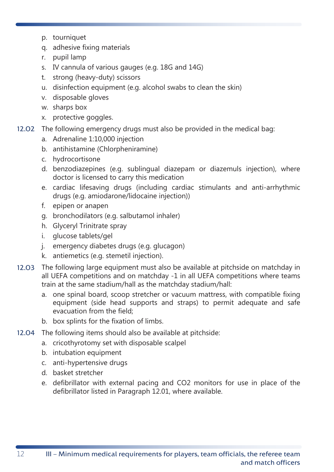- p. tourniquet
- q. adhesive fixing materials
- r. pupil lamp
- s. IV cannula of various gauges (e.g. 18G and 14G)
- t. strong (heavy-duty) scissors
- u. disinfection equipment (e.g. alcohol swabs to clean the skin)
- v. disposable gloves
- w. sharps box
- x. protective goggles.
- 12.02 The following emergency drugs must also be provided in the medical bag:
	- a. Adrenaline 1:10,000 injection
	- b. antihistamine (Chlorpheniramine)
	- c. hydrocortisone
	- d. benzodiazepines (e.g. sublingual diazepam or diazemuls injection), where doctor is licensed to carry this medication
	- e. cardiac lifesaving drugs (including cardiac stimulants and anti-arrhythmic drugs (e.g. amiodarone/lidocaine injection))
	- f. epipen or anapen
	- g. bronchodilators (e.g. salbutamol inhaler)
	- h. Glyceryl Trinitrate spray
	- i. glucose tablets/gel
	- j. emergency diabetes drugs (e.g. glucagon)
	- k. antiemetics (e.g. stemetil injection).
- 12.03 The following large equipment must also be available at pitchside on matchday in all UEFA competitions and on matchday -1 in all UEFA competitions where teams train at the same stadium/hall as the matchday stadium/hall:
	- a. one spinal board, scoop stretcher or vacuum mattress, with compatible fixing equipment (side head supports and straps) to permit adequate and safe evacuation from the field;
	- b. box splints for the fixation of limbs.
- 12.04 The following items should also be available at pitchside:
	- a. cricothyrotomy set with disposable scalpel
	- b. intubation equipment
	- c. anti-hypertensive drugs
	- d. basket stretcher
	- e. defibrillator with external pacing and CO2 monitors for use in place of the defibrillator listed [in Paragraph 12.01](#page-9-0), where available.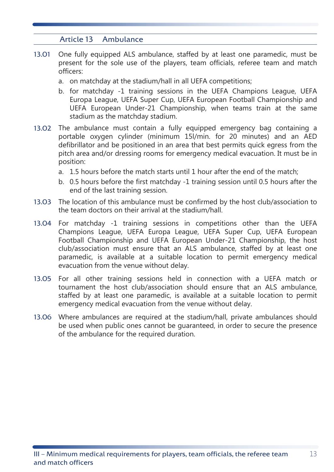#### Article 13 Ambulance

- <span id="page-11-0"></span>13.01 One fully equipped ALS ambulance, staffed by at least one paramedic, must be present for the sole use of the players, team officials, referee team and match officers:
	- a. on matchday at the stadium/hall in all UEFA competitions;
	- b. for matchday -1 training sessions in the UEFA Champions League, UEFA Europa League, UEFA Super Cup, UEFA European Football Championship and UEFA European Under-21 Championship, when teams train at the same stadium as the matchday stadium.
- 13.02 The ambulance must contain a fully equipped emergency bag containing a portable oxygen cylinder (minimum 15l/min. for 20 minutes) and an AED defibrillator and be positioned in an area that best permits quick egress from the pitch area and/or dressing rooms for emergency medical evacuation. It must be in position:
	- a. 1.5 hours before the match starts until 1 hour after the end of the match;
	- b. 0.5 hours before the first matchday -1 training session until 0.5 hours after the end of the last training session.
- 13.03 The location of this ambulance must be confirmed by the host club/association to the team doctors on their arrival at the stadium/hall.
- 13.04 For matchday -1 training sessions in competitions other than the UEFA Champions League, UEFA Europa League, UEFA Super Cup, UEFA European Football Championship and UEFA European Under-21 Championship, the host club/association must ensure that an ALS ambulance, staffed by at least one paramedic, is available at a suitable location to permit emergency medical evacuation from the venue without delay.
- 13.05 For all other training sessions held in connection with a UEFA match or tournament the host club/association should ensure that an ALS ambulance, staffed by at least one paramedic, is available at a suitable location to permit emergency medical evacuation from the venue without delay.
- 13.06 Where ambulances are required at the stadium/hall, private ambulances should be used when public ones cannot be guaranteed, in order to secure the presence of the ambulance for the required duration.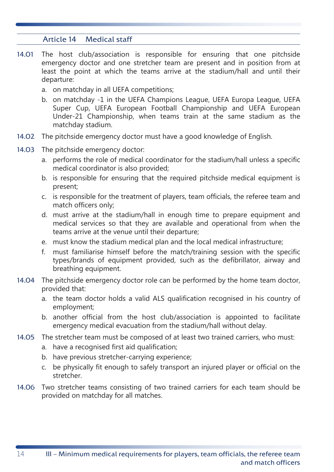#### Article 14 Medical staff

- <span id="page-12-0"></span>14.01 The host club/association is responsible for ensuring that one pitchside emergency doctor and one stretcher team are present and in position from at least the point at which the teams arrive at the stadium/hall and until their departure:
	- a. on matchday in all UEFA competitions;
	- b. on matchday -1 in the UEFA Champions League, UEFA Europa League, UEFA Super Cup, UEFA European Football Championship and UEFA European Under-21 Championship, when teams train at the same stadium as the matchday stadium.
- 14.02 The pitchside emergency doctor must have a good knowledge of English.
- 14.03 The pitchside emergency doctor:
	- a. performs the role of medical coordinator for the stadium/hall unless a specific medical coordinator is also provided;
	- b. is responsible for ensuring that the required pitchside medical equipment is present;
	- c. is responsible for the treatment of players, team officials, the referee team and match officers only;
	- d. must arrive at the stadium/hall in enough time to prepare equipment and medical services so that they are available and operational from when the teams arrive at the venue until their departure;
	- e. must know the stadium medical plan and the local medical infrastructure;
	- f. must familiarise himself before the match/training session with the specific types/brands of equipment provided, such as the defibrillator, airway and breathing equipment.
- 14.04 The pitchside emergency doctor role can be performed by the home team doctor, provided that:
	- a. the team doctor holds a valid ALS qualification recognised in his country of employment;
	- b. another official from the host club/association is appointed to facilitate emergency medical evacuation from the stadium/hall without delay.
- 14.05 The stretcher team must be composed of at least two trained carriers, who must:
	- a. have a recognised first aid qualification;
	- b. have previous stretcher-carrying experience;
	- c. be physically fit enough to safely transport an injured player or official on the stretcher.
- 14.06 Two stretcher teams consisting of two trained carriers for each team should be provided on matchday for all matches.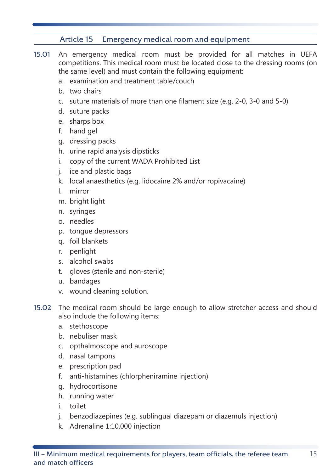#### Article 15 Emergency medical room and equipment

- <span id="page-13-0"></span>15.01 An emergency medical room must be provided for all matches in UEFA competitions. This medical room must be located close to the dressing rooms (on the same level) and must contain the following equipment:
	- a. examination and treatment table/couch
	- b. two chairs
	- c. suture materials of more than one filament size (e.g. 2-0, 3-0 and 5-0)
	- d. suture packs
	- e. sharps box
	- f. hand gel
	- g. dressing packs
	- h. urine rapid analysis dipsticks
	- i. copy of the current WADA Prohibited List
	- j. ice and plastic bags
	- k. local anaesthetics (e.g. lidocaine 2% and/or ropivacaine)
	- l. mirror
	- m. bright light
	- n. syringes
	- o. needles
	- p. tongue depressors
	- q. foil blankets
	- r. penlight
	- s. alcohol swabs
	- t. gloves (sterile and non-sterile)
	- u. bandages
	- v. wound cleaning solution.
- 15.02 The medical room should be large enough to allow stretcher access and should also include the following items:
	- a. stethoscope
	- b. nebuliser mask
	- c. opthalmoscope and auroscope
	- d. nasal tampons
	- e. prescription pad
	- f. anti-histamines (chlorpheniramine injection)
	- g. hydrocortisone
	- h. running water
	- i. toilet
	- j. benzodiazepines (e.g. sublingual diazepam or diazemuls injection)
	- k. Adrenaline 1:10,000 injection

15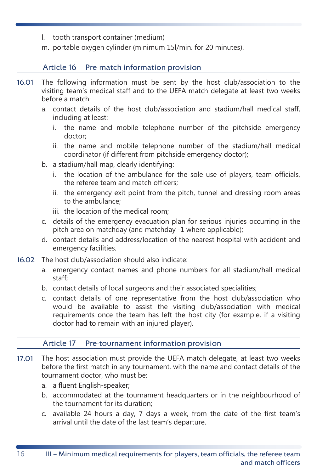- l. tooth transport container (medium)
- m. portable oxygen cylinder (minimum 15l/min. for 20 minutes).

#### Article 16 Pre-match information provision

- 16.01 The following information must be sent by the host club/association to the visiting team's medical staff and to the UEFA match delegate at least two weeks before a match:
	- a. contact details of the host club/association and stadium/hall medical staff, including at least:
		- i. the name and mobile telephone number of the pitchside emergency doctor;
		- ii. the name and mobile telephone number of the stadium/hall medical coordinator (if different from pitchside emergency doctor);
	- b. a stadium/hall map, clearly identifying:
		- i. the location of the ambulance for the sole use of players, team officials, the referee team and match officers;
		- ii. the emergency exit point from the pitch, tunnel and dressing room areas to the ambulance;
		- iii. the location of the medical room;
	- c. details of the emergency evacuation plan for serious injuries occurring in the pitch area on matchday (and matchday -1 where applicable);
	- d. contact details and address/location of the nearest hospital with accident and emergency facilities.
- 16.02 The host club/association should also indicate:
	- a. emergency contact names and phone numbers for all stadium/hall medical staff;
	- b. contact details of local surgeons and their associated specialities;
	- c. contact details of one representative from the host club/association who would be available to assist the visiting club/association with medical requirements once the team has left the host city (for example, if a visiting doctor had to remain with an injured player).

#### Article 17 Pre-tournament information provision

- 17.01 The host association must provide the UEFA match delegate, at least two weeks before the first match in any tournament, with the name and contact details of the tournament doctor, who must be:
	- a. a fluent English-speaker;
	- b. accommodated at the tournament headquarters or in the neighbourhood of the tournament for its duration;
	- c. available 24 hours a day, 7 days a week, from the date of the first team's arrival until the date of the last team's departure.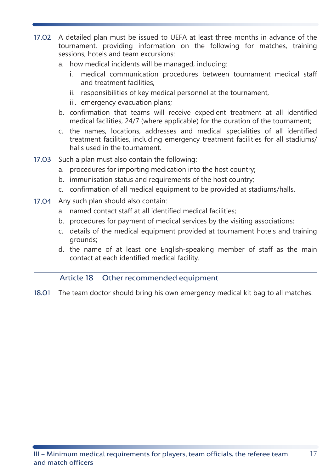- <span id="page-15-0"></span>17.02 A detailed plan must be issued to UEFA at least three months in advance of the tournament, providing information on the following for matches, training sessions, hotels and team excursions:
	- a. how medical incidents will be managed, including:
		- i. medical communication procedures between tournament medical staff and treatment facilities,
		- ii. responsibilities of key medical personnel at the tournament,
		- iii. emergency evacuation plans;
	- b. confirmation that teams will receive expedient treatment at all identified medical facilities, 24/7 (where applicable) for the duration of the tournament;
	- c. the names, locations, addresses and medical specialities of all identified treatment facilities, including emergency treatment facilities for all stadiums/ halls used in the tournament.
- 17.03 Such a plan must also contain the following:
	- a. procedures for importing medication into the host country;
	- b. immunisation status and requirements of the host country;
	- c. confirmation of all medical equipment to be provided at stadiums/halls.
- 17.04 Any such plan should also contain:
	- a. named contact staff at all identified medical facilities;
	- b. procedures for payment of medical services by the visiting associations;
	- c. details of the medical equipment provided at tournament hotels and training grounds;
	- d. the name of at least one English-speaking member of staff as the main contact at each identified medical facility.

#### Article 18 Other recommended equipment

18.01 The team doctor should bring his own emergency medical kit bag to all matches.

17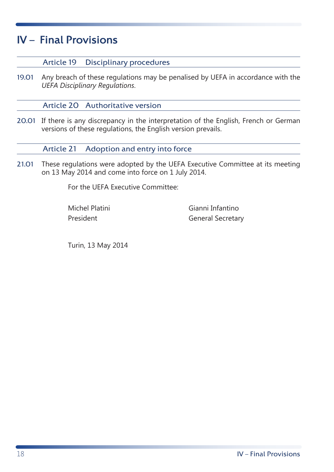## <span id="page-16-0"></span>IV – Final Provisions

#### Article 19 Disciplinary procedures

19.01 Any breach of these regulations may be penalised by UEFA in accordance with the *UEFA Disciplinary Regulations*.

Article 20 Authoritative version

20.01 If there is any discrepancy in the interpretation of the English, French or German versions of these regulations, the English version prevails.

Article 21 Adoption and entry into force

21.01 These regulations were adopted by the UEFA Executive Committee at its meeting on 13 May 2014 and come into force on 1 July 2014.

For the UEFA Executive Committee:

Michel Platini President

Gianni Infantino General Secretary

Turin, 13 May 2014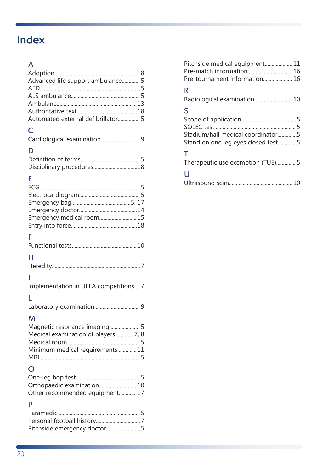# <span id="page-17-0"></span>Index

### A

| Advanced life support ambulance 5  |  |
|------------------------------------|--|
|                                    |  |
|                                    |  |
|                                    |  |
|                                    |  |
| Automated external defibrillator 5 |  |

## C

|--|--|--|

## D

| Disciplinary procedures18 |  |
|---------------------------|--|

## E

| Emergency medical room 15             |  |
|---------------------------------------|--|
|                                       |  |
| F                                     |  |
|                                       |  |
| н                                     |  |
|                                       |  |
|                                       |  |
|                                       |  |
| Implementation in UEFA competitions 7 |  |
| L                                     |  |
|                                       |  |
|                                       |  |
| м                                     |  |
| Magnetic resonance imaging 5          |  |
| Medical examination of players 7, 8   |  |
| Minimum medical requirements 11       |  |
|                                       |  |
|                                       |  |
| $\Omega$                              |  |
|                                       |  |
| Orthopaedic examination 10            |  |
| Other recommended equipment17         |  |
| P                                     |  |
|                                       |  |
|                                       |  |
| Pitchside emergency doctor5           |  |

| Pitchside medical equipment 11 |  |
|--------------------------------|--|
|                                |  |
| Pre-tournament information 16  |  |

### R

|  | Radiological examination10 |  |  |
|--|----------------------------|--|--|
|--|----------------------------|--|--|

### S

| Stadium/hall medical coordinator5   |  |
|-------------------------------------|--|
| Stand on one leg eyes closed test 5 |  |

### T

|  | Therapeutic use exemption (TUE) 5 |  |  |
|--|-----------------------------------|--|--|
|--|-----------------------------------|--|--|

### U

|--|--|--|--|